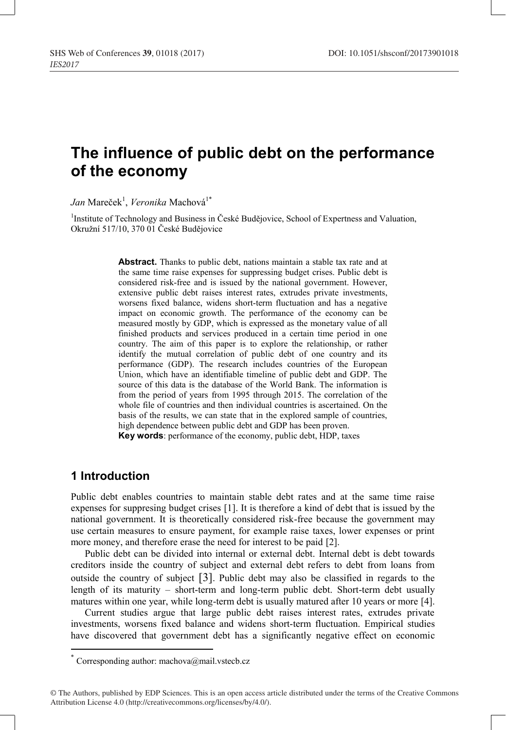# **The influence of public debt on the performance of the economy**

*Jan* Mareček<sup>1</sup>, *Veronika* Machová<sup>1\*</sup>

<sup>1</sup>Institute of Technology and Business in České Budějovice, School of Expertness and Valuation, Okružní 517/10, 370 01 České Budějovice

> **Abstract.** Thanks to public debt, nations maintain a stable tax rate and at the same time raise expenses for suppressing budget crises. Public debt is considered risk-free and is issued by the national government. However, extensive public debt raises interest rates, extrudes private investments, worsens fixed balance, widens short-term fluctuation and has a negative impact on economic growth. The performance of the economy can be measured mostly by GDP, which is expressed as the monetary value of all finished products and services produced in a certain time period in one country. The aim of this paper is to explore the relationship, or rather identify the mutual correlation of public debt of one country and its performance (GDP). The research includes countries of the European Union, which have an identifiable timeline of public debt and GDP. The source of this data is the database of the World Bank. The information is from the period of years from 1995 through 2015. The correlation of the whole file of countries and then individual countries is ascertained. On the basis of the results, we can state that in the explored sample of countries, high dependence between public debt and GDP has been proven.

**Key words**: performance of the economy, public debt, HDP, taxes

# **1 Introduction**

Public debt enables countries to maintain stable debt rates and at the same time raise expenses for suppresing budget crises [1]. It is therefore a kind of debt that is issued by the national government. It is theoretically considered risk-free because the government may use certain measures to ensure payment, for example raise taxes, lower expenses or print more money, and therefore erase the need for interest to be paid [2].

Public debt can be divided into internal or external debt. Internal debt is debt towards creditors inside the country of subject and external debt refers to debt from loans from outside the country of subject [3]. Public debt may also be classified in regards to the length of its maturity – short-term and long-term public debt. Short-term debt usually matures within one year, while long-term debt is usually matured after 10 years or more [4].

Current studies argue that large public debt raises interest rates, extrudes private investments, worsens fixed balance and widens short-term fluctuation. Empirical studies have discovered that government debt has a significantly negative effect on economic

<sup>\*</sup> Corresponding author: machova@mail.vstecb.cz

<sup>©</sup> The Authors, published by EDP Sciences. This is an open access article distributed under the terms of the Creative Commons Attribution License 4.0 (http://creativecommons.org/licenses/by/4.0/).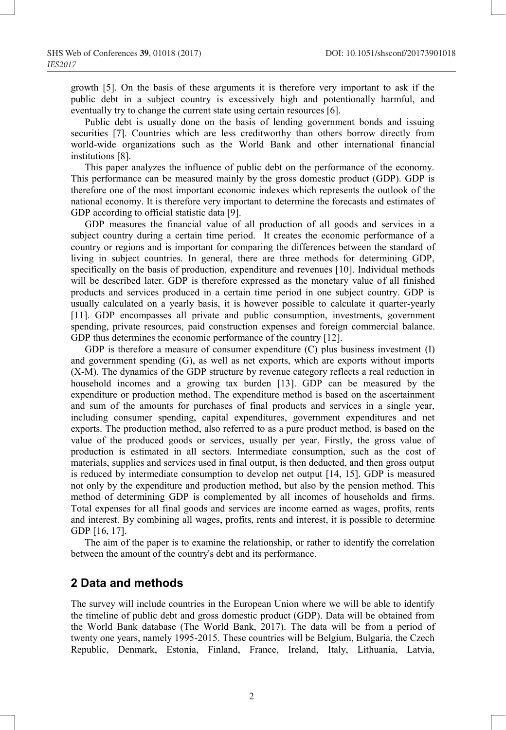growth [5]. On the basis of these arguments it is therefore very important to ask if the public debt in a subject country is excessively high and potentionally harmful, and eventually try to change the current state using certain resources [6].

Public debt is usually done on the basis of lending government bonds and issuing securities [7]. Countries which are less creditworthy than others borrow directly from world-wide organizations such as the World Bank and other international financial institutions [8].

This paper analyzes the influence of public debt on the performance of the economy. This performance can be measured mainly by the gross domestic product (GDP). GDP is therefore one of the most important economic indexes which represents the outlook of the national economy. It is therefore very important to determine the forecasts and estimates of GDP according to official statistic data [9].

GDP measures the financial value of all production of all goods and services in a subject country during a certain time period. It creates the economic performance of a country or regions and is important for comparing the differences between the standard of living in subject countries. In general, there are three methods for determining GDP, specifically on the basis of production, expenditure and revenues [10]. Individual methods will be described later. GDP is therefore expressed as the monetary value of all finished products and services produced in a certain time period in one subject country. GDP is usually calculated on a yearly basis, it is however possible to calculate it quarter-yearly [11]. GDP encompasses all private and public consumption, investments, government spending, private resources, paid construction expenses and foreign commercial balance. GDP thus determines the economic performance of the country [12].

GDP is therefore a measure of consumer expenditure (C) plus business investment (I) and government spending (G), as well as net exports, which are exports without imports (X-M). The dynamics of the GDP structure by revenue category reflects a real reduction in household incomes and a growing tax burden [13]. GDP can be measured by the expenditure or production method. The expenditure method is based on the ascertainment and sum of the amounts for purchases of final products and services in a single year, including consumer spending, capital expenditures, government expenditures and net exports. The production method, also referred to as a pure product method, is based on the value of the produced goods or services, usually per year. Firstly, the gross value of production is estimated in all sectors. Intermediate consumption, such as the cost of materials, supplies and services used in final output, is then deducted, and then gross output is reduced by intermediate consumption to develop net output [14, 15]. GDP is measured not only by the expenditure and production method, but also by the pension method. This method of determining GDP is complemented by all incomes of households and firms. Total expenses for all final goods and services are income earned as wages, profits, rents and interest. By combining all wages, profits, rents and interest, it is possible to determine GDP [16, 17].

The aim of the paper is to examine the relationship, or rather to identify the correlation between the amount of the country's debt and its performance.

## **2 Data and methods**

The survey will include countries in the European Union where we will be able to identify the timeline of public debt and gross domestic product (GDP). Data will be obtained from the World Bank database (The World Bank, 2017). The data will be from a period of twenty one years, namely 1995-2015. These countries will be Belgium, Bulgaria, the Czech Republic, Denmark, Estonia, Finland, France, Ireland, Italy, Lithuania, Latvia,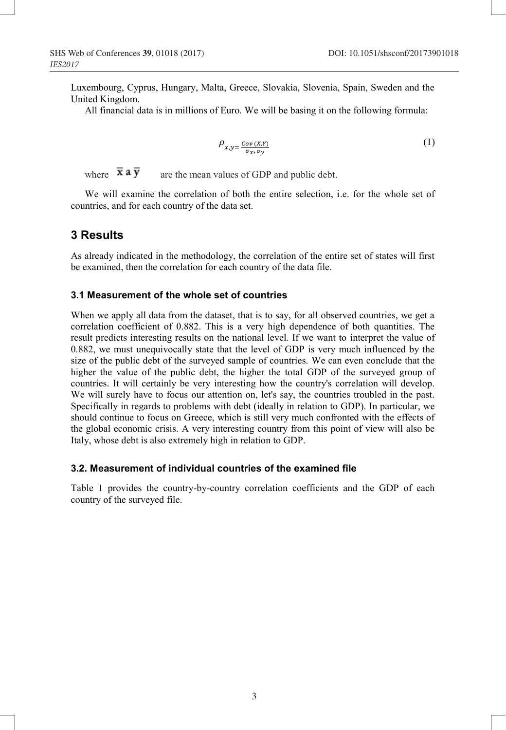Luxembourg, Cyprus, Hungary, Malta, Greece, Slovakia, Slovenia, Spain, Sweden and the United Kingdom.

All financial data is in millions of Euro. We will be basing it on the following formula:

$$
\rho_{x,y=\frac{Cov\left(X,Y\right)}{\sigma_{x\ast}\sigma_{y}}}\tag{1}
$$

where  $\overline{\mathbf{x}} \cdot \mathbf{a} \cdot \overline{\mathbf{y}}$  are the mean values of GDP and public debt.

We will examine the correlation of both the entire selection, i.e. for the whole set of countries, and for each country of the data set.

### **3 Results**

As already indicated in the methodology, the correlation of the entire set of states will first be examined, then the correlation for each country of the data file.

#### **3.1 Measurement of the whole set of countries**

When we apply all data from the dataset, that is to say, for all observed countries, we get a correlation coefficient of 0.882. This is a very high dependence of both quantities. The result predicts interesting results on the national level. If we want to interpret the value of 0.882, we must unequivocally state that the level of GDP is very much influenced by the size of the public debt of the surveyed sample of countries. We can even conclude that the higher the value of the public debt, the higher the total GDP of the surveyed group of countries. It will certainly be very interesting how the country's correlation will develop. We will surely have to focus our attention on, let's say, the countries troubled in the past. Specifically in regards to problems with debt (ideally in relation to GDP). In particular, we should continue to focus on Greece, which is still very much confronted with the effects of the global economic crisis. A very interesting country from this point of view will also be Italy, whose debt is also extremely high in relation to GDP.

#### **3.2. Measurement of individual countries of the examined file**

Table 1 provides the country-by-country correlation coefficients and the GDP of each country of the surveyed file.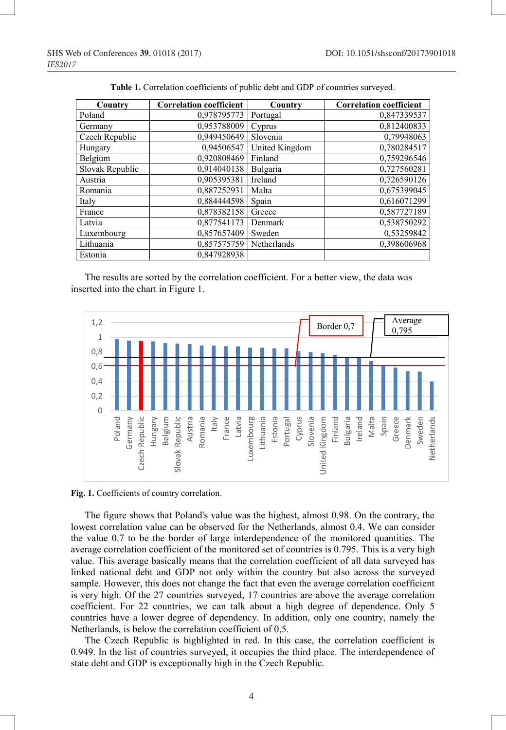| Country         | <b>Correlation coefficient</b> | Country        | <b>Correlation coefficient</b> |
|-----------------|--------------------------------|----------------|--------------------------------|
| Poland          | 0,978795773                    | Portugal       | 0,847339537                    |
| Germany         | 0,953788009                    | Cyprus         | 0,812400833                    |
| Czech Republic  | 0,949450649                    | Slovenia       | 0,79948063                     |
| Hungary         | 0,94506547                     | United Kingdom | 0,780284517                    |
| Belgium         | 0.920808469                    | Finland        | 0,759296546                    |
| Slovak Republic | 0.914040138                    | Bulgaria       | 0,727560281                    |
| Austria         | 0.905395381                    | Ireland        | 0,726590126                    |
| Romania         | 0,887252931                    | Malta          | 0,675399045                    |
| Italy           | 0,884444598                    | Spain          | 0,616071299                    |
| France          | 0,878382158                    | Greece         | 0,587727189                    |
| Latvia          | 0,877541173                    | Denmark        | 0,538750292                    |
| Luxembourg      | 0,857657409                    | Sweden         | 0,53259842                     |
| Lithuania       | 0,857575759                    | Netherlands    | 0,398606968                    |
| Estonia         | 0.847928938                    |                |                                |

**Table 1.** Correlation coefficients of public debt and GDP of countries surveyed.

The results are sorted by the correlation coefficient. For a better view, the data was inserted into the chart in Figure 1.



**Fig. 1.** Coefficients of country correlation.

The figure shows that Poland's value was the highest, almost 0.98. On the contrary, the lowest correlation value can be observed for the Netherlands, almost 0.4. We can consider the value 0.7 to be the border of large interdependence of the monitored quantities. The average correlation coefficient of the monitored set of countries is 0.795. This is a very high value. This average basically means that the correlation coefficient of all data surveyed has linked national debt and GDP not only within the country but also across the surveyed sample. However, this does not change the fact that even the average correlation coefficient is very high. Of the 27 countries surveyed, 17 countries are above the average correlation coefficient. For 22 countries, we can talk about a high degree of dependence. Only 5 countries have a lower degree of dependency. In addition, only one country, namely the Netherlands, is below the correlation coefficient of 0,5.

The Czech Republic is highlighted in red. In this case, the correlation coefficient is 0.949. In the list of countries surveyed, it occupies the third place. The interdependence of state debt and GDP is exceptionally high in the Czech Republic.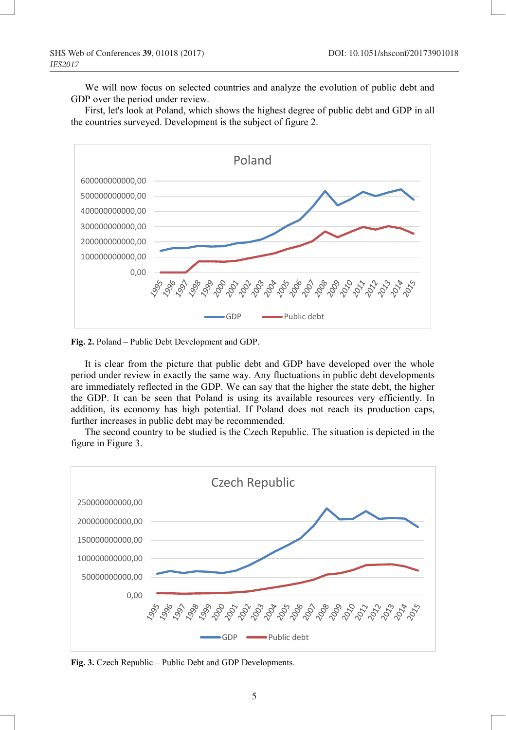We will now focus on selected countries and analyze the evolution of public debt and GDP over the period under review.

First, let's look at Poland, which shows the highest degree of public debt and GDP in all the countries surveyed. Development is the subject of figure 2.



**Fig. 2.** Poland – Public Debt Development and GDP.

It is clear from the picture that public debt and GDP have developed over the whole period under review in exactly the same way. Any fluctuations in public debt developments are immediately reflected in the GDP. We can say that the higher the state debt, the higher the GDP. It can be seen that Poland is using its available resources very efficiently. In addition, its economy has high potential. If Poland does not reach its production caps, further increases in public debt may be recommended.

The second country to be studied is the Czech Republic. The situation is depicted in the figure in Figure 3.



**Fig. 3.** Czech Republic – Public Debt and GDP Developments.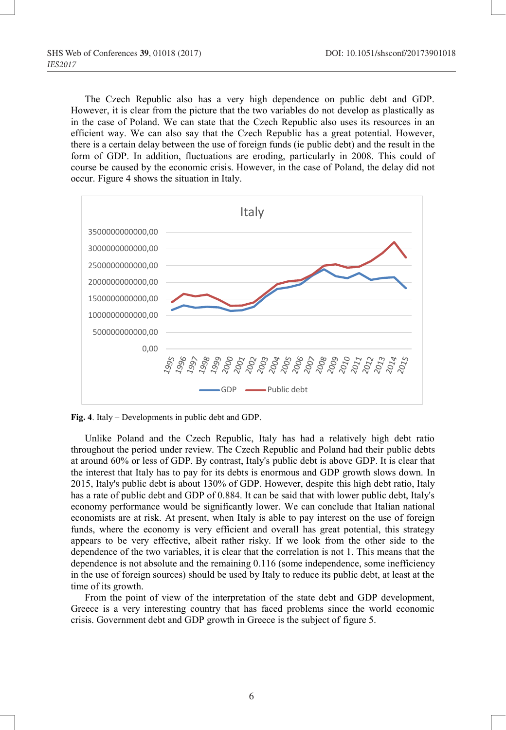The Czech Republic also has a very high dependence on public debt and GDP. However, it is clear from the picture that the two variables do not develop as plastically as in the case of Poland. We can state that the Czech Republic also uses its resources in an efficient way. We can also say that the Czech Republic has a great potential. However, there is a certain delay between the use of foreign funds (ie public debt) and the result in the form of GDP. In addition, fluctuations are eroding, particularly in 2008. This could of course be caused by the economic crisis. However, in the case of Poland, the delay did not occur. Figure 4 shows the situation in Italy.



**Fig. 4**. Italy – Developments in public debt and GDP.

Unlike Poland and the Czech Republic, Italy has had a relatively high debt ratio throughout the period under review. The Czech Republic and Poland had their public debts at around 60% or less of GDP. By contrast, Italy's public debt is above GDP. It is clear that the interest that Italy has to pay for its debts is enormous and GDP growth slows down. In 2015, Italy's public debt is about 130% of GDP. However, despite this high debt ratio, Italy has a rate of public debt and GDP of 0.884. It can be said that with lower public debt, Italy's economy performance would be significantly lower. We can conclude that Italian national economists are at risk. At present, when Italy is able to pay interest on the use of foreign funds, where the economy is very efficient and overall has great potential, this strategy appears to be very effective, albeit rather risky. If we look from the other side to the dependence of the two variables, it is clear that the correlation is not 1. This means that the dependence is not absolute and the remaining 0.116 (some independence, some inefficiency in the use of foreign sources) should be used by Italy to reduce its public debt, at least at the time of its growth.

From the point of view of the interpretation of the state debt and GDP development, Greece is a very interesting country that has faced problems since the world economic crisis. Government debt and GDP growth in Greece is the subject of figure 5.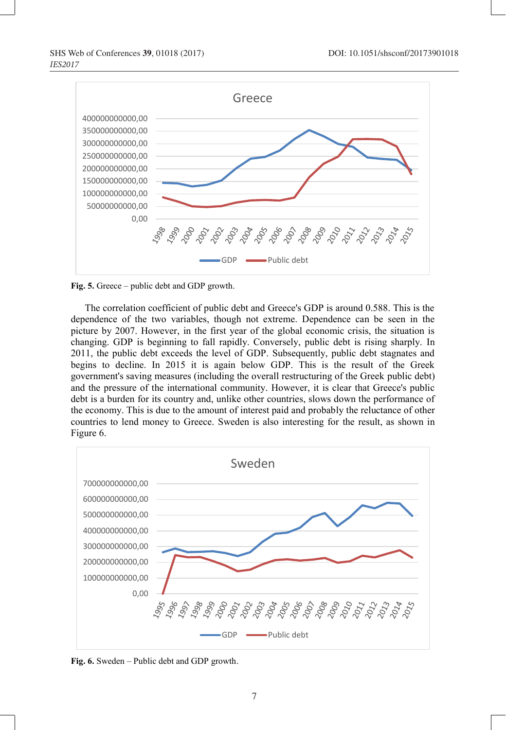#### SHS Web of Conferences **39**, 01018 (2017) DOI: 10.1051/shsconf/20173901018 *IES2017*





The correlation coefficient of public debt and Greece's GDP is around 0.588. This is the dependence of the two variables, though not extreme. Dependence can be seen in the picture by 2007. However, in the first year of the global economic crisis, the situation is changing. GDP is beginning to fall rapidly. Conversely, public debt is rising sharply. In 2011, the public debt exceeds the level of GDP. Subsequently, public debt stagnates and begins to decline. In 2015 it is again below GDP. This is the result of the Greek government's saving measures (including the overall restructuring of the Greek public debt) and the pressure of the international community. However, it is clear that Greece's public debt is a burden for its country and, unlike other countries, slows down the performance of the economy. This is due to the amount of interest paid and probably the reluctance of other countries to lend money to Greece. Sweden is also interesting for the result, as shown in Figure 6.



**Fig. 6.** Sweden – Public debt and GDP growth.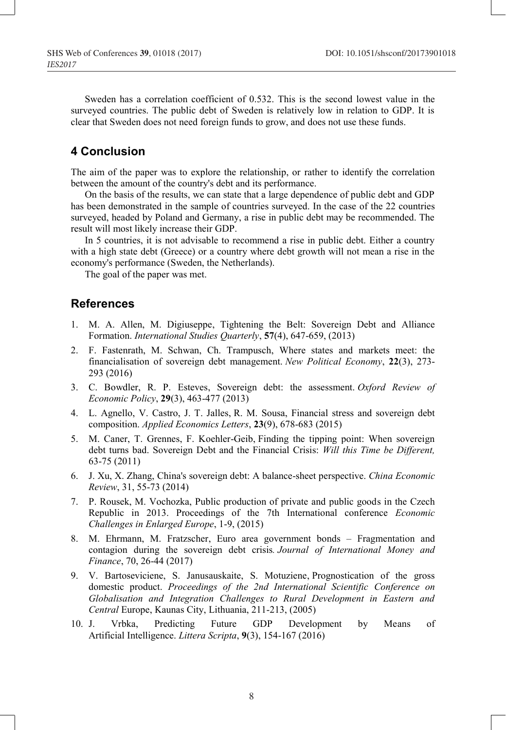Sweden has a correlation coefficient of 0.532. This is the second lowest value in the surveyed countries. The public debt of Sweden is relatively low in relation to GDP. It is clear that Sweden does not need foreign funds to grow, and does not use these funds.

# **4 Conclusion**

The aim of the paper was to explore the relationship, or rather to identify the correlation between the amount of the country's debt and its performance.

On the basis of the results, we can state that a large dependence of public debt and GDP has been demonstrated in the sample of countries surveyed. In the case of the 22 countries surveyed, headed by Poland and Germany, a rise in public debt may be recommended. The result will most likely increase their GDP.

In 5 countries, it is not advisable to recommend a rise in public debt. Either a country with a high state debt (Greece) or a country where debt growth will not mean a rise in the economy's performance (Sweden, the Netherlands).

The goal of the paper was met.

## **References**

- 1. M. A. Allen, M. Digiuseppe, Tightening the Belt: Sovereign Debt and Alliance Formation. *International Studies Quarterly*, **57**(4), 647-659, (2013)
- 2. F. Fastenrath, M. Schwan, Ch. Trampusch, Where states and markets meet: the financialisation of sovereign debt management. *New Political Economy*, **22**(3), 273- 293 (2016)
- 3. C. Bowdler, R. P. Esteves, Sovereign debt: the assessment. *Oxford Review of Economic Policy*, **29**(3), 463-477 (2013)
- 4. L. Agnello, V. Castro, J. T. Jalles, R. M. Sousa, Financial stress and sovereign debt composition. *Applied Economics Letters*, **23**(9), 678-683 (2015)
- 5. M. Caner, T. Grennes, F. Koehler-Geib, Finding the tipping point: When sovereign debt turns bad. Sovereign Debt and the Financial Crisis: *Will this Time be Different,* 63-75 (2011)
- 6. J. Xu, X. Zhang, China's sovereign debt: A balance-sheet perspective. *China Economic Review*, 31, 55-73 (2014)
- 7. P. Rousek, M. Vochozka, Public production of private and public goods in the Czech Republic in 2013. Proceedings of the 7th International conference *Economic Challenges in Enlarged Europe*, 1-9, (2015)
- 8. M. Ehrmann, M. Fratzscher, Euro area government bonds Fragmentation and contagion during the sovereign debt crisis*. Journal of International Money and Finance*, 70, 26-44 (2017)
- 9. V. Bartoseviciene, S. Janusauskaite, S. Motuziene, Prognostication of the gross domestic product. *Proceedings of the 2nd International Scientific Conference on Globalisation and Integration Challenges to Rural Development in Eastern and Central* Europe, Kaunas City, Lithuania, 211-213, (2005)
- 10. J. Vrbka, Predicting Future GDP Development by Means of Artificial Intelligence. *Littera Scripta*, **9**(3), 154-167 (2016)